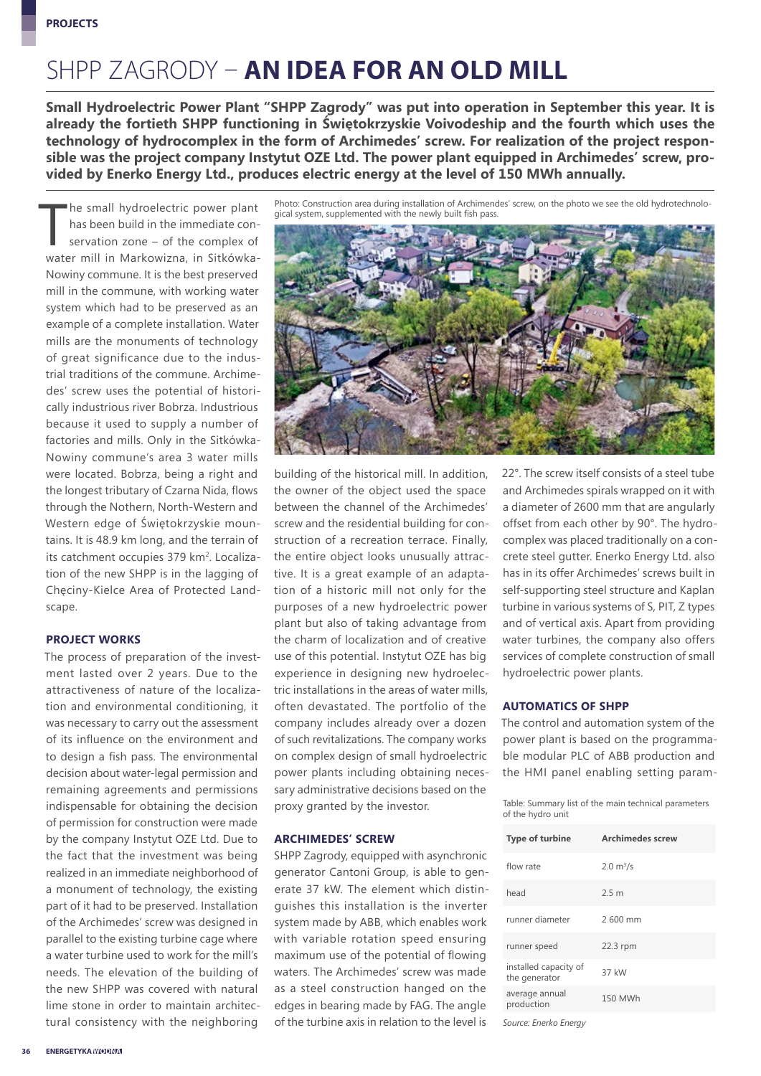### SHPP ZAGRODY – **AN IDEA FOR AN OLD MILL**

**Small Hydroelectric Power Plant "SHPP Zagrody" was put into operation in September this year. It is already the fortieth SHPP functioning in Świętokrzyskie Voivodeship and the fourth which uses the technology of hydrocomplex in the form of Archimedes' screw. For realization of the project responsible was the project company Instytut OZE Ltd. The power plant equipped in Archimedes' screw, provided by Enerko Energy Ltd., produces electric energy at the level of 150 MWh annually.**

The small hydroelectric power plant<br>has been build in the immediate con-<br>servation zone – of the complex of<br>water mill in Markowinne in Sitkéwke he small hydroelectric power plant has been build in the immediate conservation zone – of the complex of water mill in Markowizna, in Sitkówka-Nowiny commune. It is the best preserved mill in the commune, with working water system which had to be preserved as an example of a complete installation. Water mills are the monuments of technology of great significance due to the industrial traditions of the commune. Archimedes' screw uses the potential of historically industrious river Bobrza. Industrious because it used to supply a number of factories and mills. Only in the Sitkówka-Nowiny commune's area 3 water mills were located. Bobrza, being a right and the longest tributary of Czarna Nida, flows through the Nothern, North-Western and Western edge of Świętokrzyskie mountains. It is 48.9 km long, and the terrain of its catchment occupies 379 km<sup>2</sup>. Localization of the new SHPP is in the lagging of Chęciny-Kielce Area of Protected Landscape.

#### **PROJECT WORKS**

The process of preparation of the investment lasted over 2 years. Due to the attractiveness of nature of the localization and environmental conditioning, it was necessary to carry out the assessment of its influence on the environment and to design a fish pass. The environmental decision about water-legal permission and remaining agreements and permissions indispensable for obtaining the decision of permission for construction were made by the company Instytut OZE Ltd. Due to the fact that the investment was being realized in an immediate neighborhood of a monument of technology, the existing part of it had to be preserved. Installation of the Archimedes' screw was designed in parallel to the existing turbine cage where a water turbine used to work for the mill's needs. The elevation of the building of the new SHPP was covered with natural lime stone in order to maintain architectural consistency with the neighboring

Photo: Construction area during installation of Archimendes' screw, on the photo we see the old hydrotechnolo-<br>gical system, supplemented with the newly built fish pass.



building of the historical mill. In addition, the owner of the object used the space between the channel of the Archimedes' screw and the residential building for construction of a recreation terrace. Finally, the entire object looks unusually attractive. It is a great example of an adaptation of a historic mill not only for the purposes of a new hydroelectric power plant but also of taking advantage from the charm of localization and of creative use of this potential. Instytut OZE has big experience in designing new hydroelectric installations in the areas of water mills, often devastated. The portfolio of the company includes already over a dozen of such revitalizations. The company works on complex design of small hydroelectric power plants including obtaining necessary administrative decisions based on the proxy granted by the investor.

#### **ARCHIMEDES' SCREW**

SHPP Zagrody, equipped with asynchronic generator Cantoni Group, is able to generate 37 kW. The element which distinguishes this installation is the inverter system made by ABB, which enables work with variable rotation speed ensuring maximum use of the potential of flowing waters. The Archimedes' screw was made as a steel construction hanged on the edges in bearing made by FAG. The angle of the turbine axis in relation to the level is

22°. The screw itself consists of a steel tube and Archimedes spirals wrapped on it with a diameter of 2600 mm that are angularly offset from each other by 90°. The hydrocomplex was placed traditionally on a concrete steel gutter. Enerko Energy Ltd. also has in its offer Archimedes' screws built in self-supporting steel structure and Kaplan turbine in various systems of S, PIT, Z types and of vertical axis. Apart from providing water turbines, the company also offers services of complete construction of small hydroelectric power plants.

#### **AUTOMATICS OF SHPP**

The control and automation system of the power plant is based on the programmable modular PLC of ABB production and the HMI panel enabling setting param-

Table: Summary list of the main technical parameters of the hydro unit

| <b>Type of turbine</b>                 | <b>Archimedes screw</b>    |
|----------------------------------------|----------------------------|
| flow rate                              | $2.0 \text{ m}^3/\text{s}$ |
| head                                   | 2.5 <sub>m</sub>           |
| runner diameter                        | 2600 mm                    |
| runner speed                           | 22.3 rpm                   |
| installed capacity of<br>the generator | 37 kW                      |
| average annual<br>production           | 150 MWh                    |

*Source: Enerko Energy*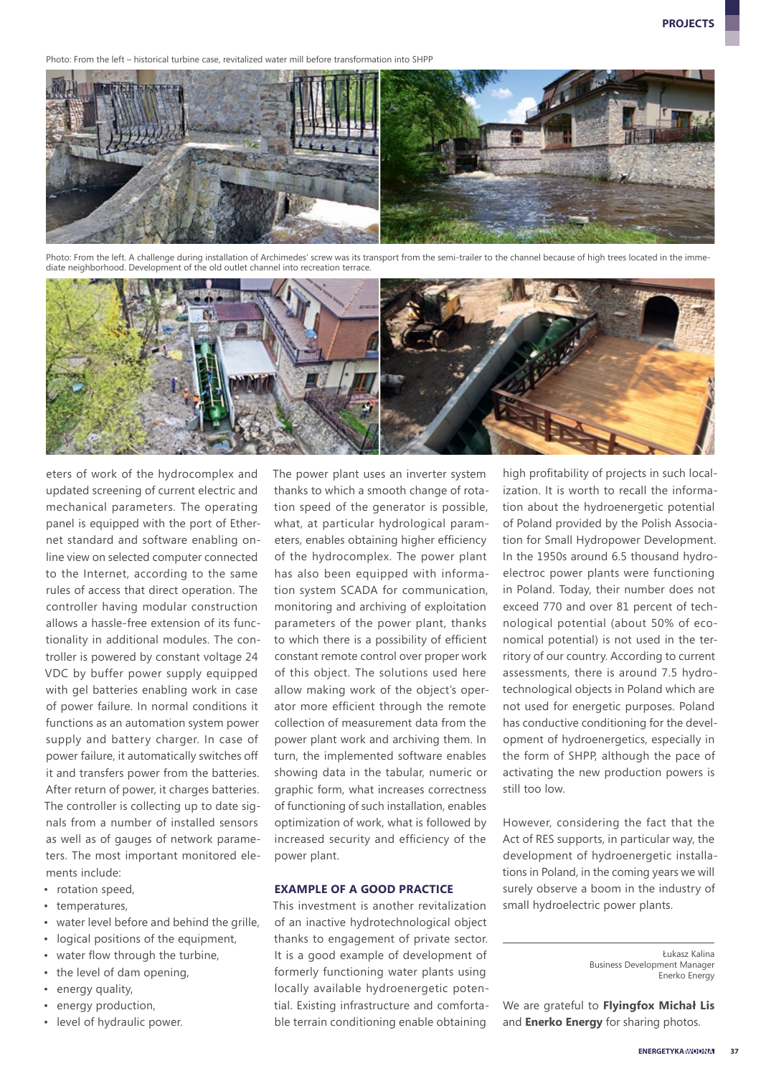Photo: From the left – historical turbine case, revitalized water mill before transformation into SHPP



Photo: From the left. A challenge during installation of Archimedes' screw was its transport from the semi-trailer to the channel because of high trees located in the imme diate neighborhood. Development of the old outlet channel into recreation terrace.



eters of work of the hydrocomplex and updated screening of current electric and mechanical parameters. The operating panel is equipped with the port of Ethernet standard and software enabling online view on selected computer connected to the Internet, according to the same rules of access that direct operation. The controller having modular construction allows a hassle-free extension of its functionality in additional modules. The controller is powered by constant voltage 24 VDC by buffer power supply equipped with gel batteries enabling work in case of power failure. In normal conditions it functions as an automation system power supply and battery charger. In case of power failure, it automatically switches off it and transfers power from the batteries. After return of power, it charges batteries. The controller is collecting up to date signals from a number of installed sensors as well as of gauges of network parameters. The most important monitored elements include:

- rotation speed,
- temperatures,
- water level before and behind the grille,
- logical positions of the equipment,
- water flow through the turbine,
- the level of dam opening,
- energy quality,
- energy production,
- level of hydraulic power.

The power plant uses an inverter system thanks to which a smooth change of rotation speed of the generator is possible, what, at particular hydrological parameters, enables obtaining higher efficiency of the hydrocomplex. The power plant has also been equipped with information system SCADA for communication, monitoring and archiving of exploitation parameters of the power plant, thanks to which there is a possibility of efficient constant remote control over proper work of this object. The solutions used here allow making work of the object's operator more efficient through the remote collection of measurement data from the power plant work and archiving them. In turn, the implemented software enables showing data in the tabular, numeric or graphic form, what increases correctness of functioning of such installation, enables optimization of work, what is followed by increased security and efficiency of the power plant.

#### **EXAMPLE OF A GOOD PRACTICE**

This investment is another revitalization of an inactive hydrotechnological object thanks to engagement of private sector. It is a good example of development of formerly functioning water plants using locally available hydroenergetic potential. Existing infrastructure and comfortable terrain conditioning enable obtaining

high profitability of projects in such localization. It is worth to recall the information about the hydroenergetic potential of Poland provided by the Polish Association for Small Hydropower Development. In the 1950s around 6.5 thousand hydroelectroc power plants were functioning in Poland. Today, their number does not exceed 770 and over 81 percent of technological potential (about 50% of economical potential) is not used in the territory of our country. According to current assessments, there is around 7.5 hydrotechnological objects in Poland which are not used for energetic purposes. Poland has conductive conditioning for the development of hydroenergetics, especially in the form of SHPP, although the pace of activating the new production powers is still too low.

However, considering the fact that the Act of RES supports, in particular way, the development of hydroenergetic installations in Poland, in the coming years we will surely observe a boom in the industry of small hydroelectric power plants.

We are grateful to **Flyingfox Michał Lis** and **Enerko Energy** for sharing photos.

Łukasz Kalina Business Development Manager Enerko Energy